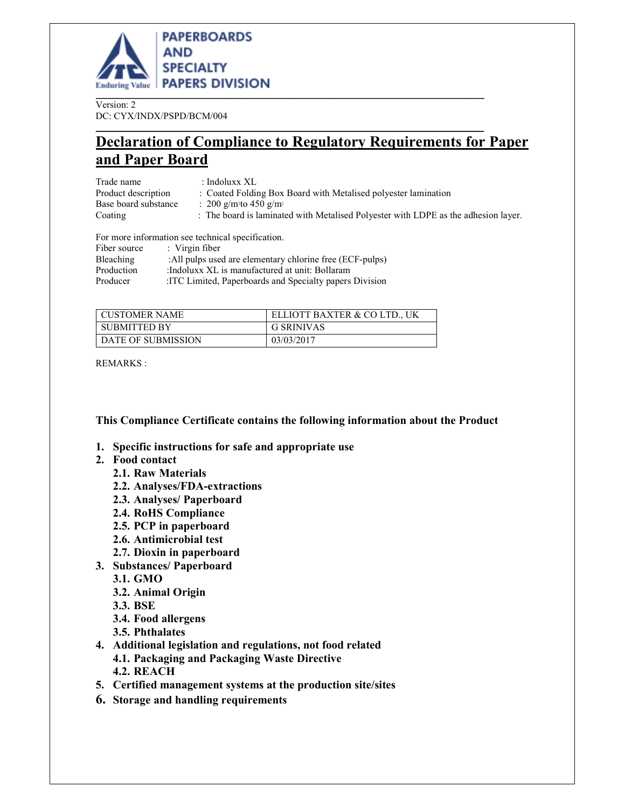

Version: 2 DC: CYX/INDX/PSPD/BCM/004

# \_\_\_\_\_\_\_\_\_\_\_\_\_\_\_\_\_\_\_\_\_\_\_\_\_\_\_\_\_\_\_\_\_\_\_\_\_\_\_\_\_\_\_\_\_\_\_\_\_\_\_\_\_\_\_\_\_\_\_\_\_\_\_\_\_\_\_\_\_\_\_\_\_\_\_\_\_\_\_\_\_ **Declaration of Compliance to Regulatory Requirements for Paper and Paper Board**

| Trade name           | : Indoluxx $XL$                                                                    |
|----------------------|------------------------------------------------------------------------------------|
| Product description  | : Coated Folding Box Board with Metalised polyester lamination                     |
| Base board substance | : 200 g/m <sup>2</sup> to 450 g/m <sup>2</sup>                                     |
| Coating              | : The board is laminated with Metalised Polyester with LDPE as the adhesion layer. |
|                      |                                                                                    |

For more information see technical specification.

| : Virgin fiber                                           |
|----------------------------------------------------------|
| :All pulps used are elementary chlorine free (ECF-pulps) |
| :Indoluxx XL is manufactured at unit: Bollaram           |
| :ITC Limited, Paperboards and Specialty papers Division  |
|                                                          |

| <b>CUSTOMER NAME</b> | ELLIOTT BAXTER & CO LTD., UK |  |  |
|----------------------|------------------------------|--|--|
| <b>SUBMITTED BY</b>  | G SRINIVAS                   |  |  |
| DATE OF SUBMISSION   | 03/03/2017                   |  |  |

REMARKS :

**This Compliance Certificate contains the following information about the Product** 

- **1. Specific instructions for safe and appropriate use**
- **2. Food contact** 
	- **2.1. Raw Materials**
	- **2.2. Analyses/FDA-extractions**
	- **2.3. Analyses/ Paperboard**
	- **2.4. RoHS Compliance**
	- **2.5. PCP in paperboard**
	- **2.6. Antimicrobial test**
	- **2.7. Dioxin in paperboard**
- **3. Substances/ Paperboard** 
	- **3.1. GMO**
	- **3.2. Animal Origin**
	- **3.3. BSE**
	- **3.4. Food allergens**
	- **3.5. Phthalates**
- **4. Additional legislation and regulations, not food related** 
	- **4.1. Packaging and Packaging Waste Directive**
	- **4.2. REACH**
- **5. Certified management systems at the production site/sites**
- **6. Storage and handling requirements**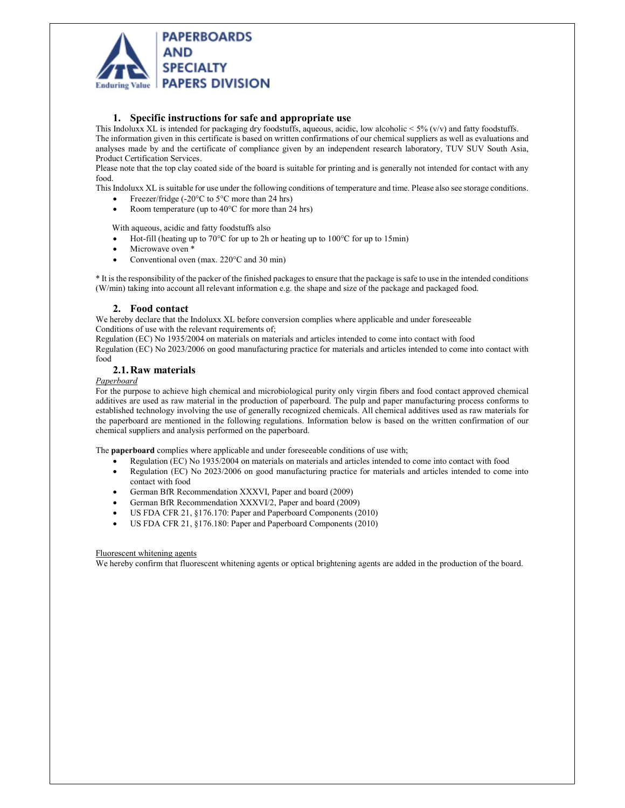

# **1. Specific instructions for safe and appropriate use**

This Indoluxx XL is intended for packaging dry foodstuffs, aqueous, acidic, low alcoholic  $< 5\%$  (v/v) and fatty foodstuffs. The information given in this certificate is based on written confirmations of our chemical suppliers as well as evaluations and analyses made by and the certificate of compliance given by an independent research laboratory, TUV SUV South Asia, Product Certification Services.

Please note that the top clay coated side of the board is suitable for printing and is generally not intended for contact with any food.

This Indoluxx XL is suitable for use under the following conditions of temperature and time. Please also see storage conditions.

- Freezer/fridge (-20°C to 5°C more than 24 hrs)
- Room temperature (up to  $40^{\circ}$ C for more than 24 hrs)

With aqueous, acidic and fatty foodstuffs also

- Hot-fill (heating up to 70°C for up to 2h or heating up to 100°C for up to 15min)
- Microwave oven \*
- Conventional oven (max. 220°C and 30 min)

\* It is the responsibility of the packer of the finished packages to ensure that the package is safe to use in the intended conditions (W/min) taking into account all relevant information e.g. the shape and size of the package and packaged food.

# **2. Food contact**

We hereby declare that the Indoluxx XL before conversion complies where applicable and under foreseeable Conditions of use with the relevant requirements of;

Regulation (EC) No 1935/2004 on materials on materials and articles intended to come into contact with food Regulation (EC) No 2023/2006 on good manufacturing practice for materials and articles intended to come into contact with food

# **2.1.Raw materials**

# *Paperboard*

For the purpose to achieve high chemical and microbiological purity only virgin fibers and food contact approved chemical additives are used as raw material in the production of paperboard. The pulp and paper manufacturing process conforms to established technology involving the use of generally recognized chemicals. All chemical additives used as raw materials for the paperboard are mentioned in the following regulations. Information below is based on the written confirmation of our chemical suppliers and analysis performed on the paperboard.

The **paperboard** complies where applicable and under foreseeable conditions of use with;

- Regulation (EC) No 1935/2004 on materials on materials and articles intended to come into contact with food
- Regulation (EC) No 2023/2006 on good manufacturing practice for materials and articles intended to come into contact with food
- German BfR Recommendation XXXVI, Paper and board (2009)
- German BfR Recommendation XXXVI/2, Paper and board (2009)
- US FDA CFR 21, §176.170: Paper and Paperboard Components (2010)
- US FDA CFR 21, §176.180: Paper and Paperboard Components (2010)

## Fluorescent whitening agents

We hereby confirm that fluorescent whitening agents or optical brightening agents are added in the production of the board.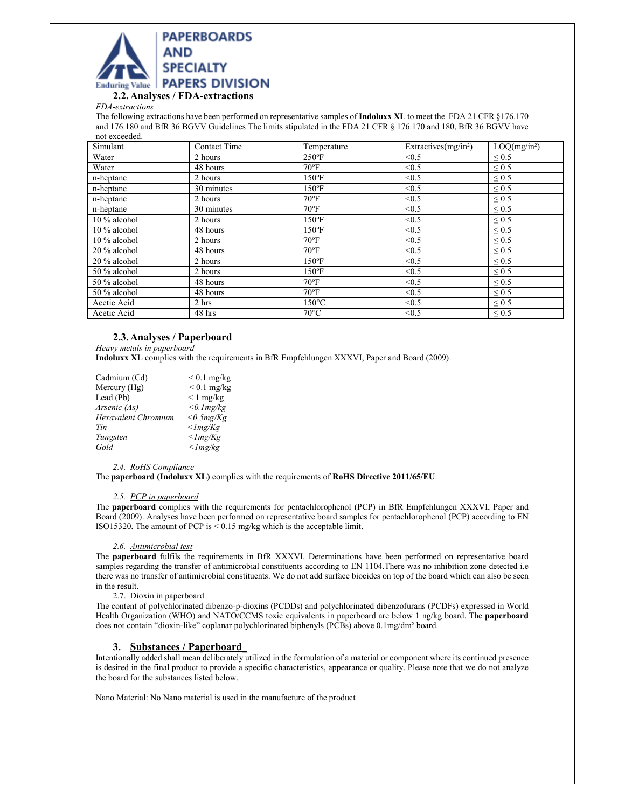

*FDA-extractions* 

The following extractions have been performed on representative samples of **Indoluxx XL** to meet the FDA 21 CFR §176.170 and 176.180 and BfR 36 BGVV Guidelines The limits stipulated in the FDA 21 CFR § 176.170 and 180, BfR 36 BGVV have not exceeded.

| Simulant       | <b>Contact Time</b> | Temperature     | Extractives( $mg/in^2$ ) | LOQ(mg/in <sup>2</sup> ) |
|----------------|---------------------|-----------------|--------------------------|--------------------------|
| Water          | 2 hours             | $250^{\circ}$ F | < 0.5                    | $\leq 0.5$               |
| Water          | 48 hours            | $70^{\circ}$ F  | < 0.5                    | $\leq 0.5$               |
| n-heptane      | 2 hours             | $150^{\circ}$ F | < 0.5                    | $\leq 0.5$               |
| n-heptane      | 30 minutes          | $150^{\circ}$ F | < 0.5                    | $\leq 0.5$               |
| n-heptane      | 2 hours             | $70^{\circ}$ F  | < 0.5                    | $\leq 0.5$               |
| n-heptane      | 30 minutes          | $70^{\circ}$ F  | < 0.5                    | $\leq 0.5$               |
| 10 % alcohol   | 2 hours             | $150^{\circ}$ F | < 0.5                    | $\leq 0.5$               |
| 10 % alcohol   | 48 hours            | $150^{\circ}F$  | < 0.5                    | $\leq 0.5$               |
| $10\%$ alcohol | 2 hours             | $70^{\circ}$ F  | < 0.5                    | $\leq 0.5$               |
| 20 % alcohol   | 48 hours            | $70^{\circ}$ F  | < 0.5                    | $\leq 0.5$               |
| 20 % alcohol   | 2 hours             | $150^{\circ}$ F | < 0.5                    | $\leq 0.5$               |
| 50 % alcohol   | 2 hours             | $150^{\circ}$ F | < 0.5                    | $\leq 0.5$               |
| 50 % alcohol   | 48 hours            | $70^{\circ}$ F  | < 0.5                    | $\leq 0.5$               |
| 50 % alcohol   | 48 hours            | $70^{\circ}$ F  | < 0.5                    | $\leq 0.5$               |
| Acetic Acid    | 2 hrs               | $150^{\circ}$ C | < 0.5                    | $\leq 0.5$               |
| Acetic Acid    | 48 hrs              | $70^{\circ}$ C  | < 0.5                    | $\leq 0.5$               |

# **2.3.Analyses / Paperboard**

*Heavy metals in paperboard* 

**Indoluxx XL** complies with the requirements in BfR Empfehlungen XXXVI, Paper and Board (2009).

| Cadmium (Cd)        | $< 0.1$ mg/kg    |
|---------------------|------------------|
| Mercury (Hg)        | $< 0.1$ mg/kg    |
| Lead (Pb)           | $\leq 1$ mg/kg   |
| Arsenic (As)        | $<$ 0.1 $mg/kg$  |
| Hexavalent Chromium | $<$ 0.5 $mg/Kg$  |
| Tin                 | $\langle$ lmg/Kg |
| Tungsten            | $\langle$ lmg/Kg |
| Gold                | $\langle$ lmg/kg |
|                     |                  |

*2.4. RoHS Compliance* 

The **paperboard (Indoluxx XL)** complies with the requirements of **RoHS Directive 2011/65/EU**.

### *2.5. PCP in paperboard*

The **paperboard** complies with the requirements for pentachlorophenol (PCP) in BfR Empfehlungen XXXVI, Paper and Board (2009). Analyses have been performed on representative board samples for pentachlorophenol (PCP) according to EN ISO15320. The amount of PCP is < 0.15 mg/kg which is the acceptable limit.

#### *2.6. Antimicrobial test*

The **paperboard** fulfils the requirements in BfR XXXVI. Determinations have been performed on representative board samples regarding the transfer of antimicrobial constituents according to EN 1104. There was no inhibition zone detected i.e there was no transfer of antimicrobial constituents. We do not add surface biocides on top of the board which can also be seen in the result.

#### 2.7. Dioxin in paperboard

The content of polychlorinated dibenzo-p-dioxins (PCDDs) and polychlorinated dibenzofurans (PCDFs) expressed in World Health Organization (WHO) and NATO/CCMS toxic equivalents in paperboard are below 1 ng/kg board. The **paperboard** does not contain "dioxin-like" coplanar polychlorinated biphenyls (PCBs) above 0.1mg/dm² board.

## **3. Substances / Paperboard\_**

Intentionally added shall mean deliberately utilized in the formulation of a material or component where its continued presence is desired in the final product to provide a specific characteristics, appearance or quality. Please note that we do not analyze the board for the substances listed below.

Nano Material: No Nano material is used in the manufacture of the product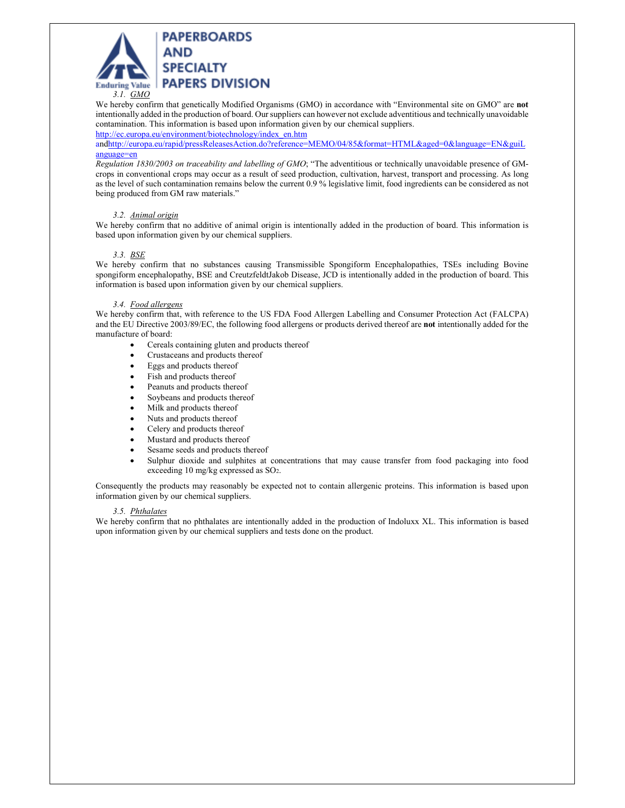

We hereby confirm that genetically Modified Organisms (GMO) in accordance with "Environmental site on GMO" are **not** intentionally added in the production of board. Our suppliers can however not exclude adventitious and technically unavoidable contamination. This information is based upon information given by our chemical suppliers.

http://ec.europa.eu/environment/biotechnology/index\_en.htm

andhttp://europa.eu/rapid/pressReleasesAction.do?reference=MEMO/04/85&format=HTML&aged=0&language=EN&guiL anguage=en

*Regulation 1830/2003 on traceability and labelling of GMO*; "The adventitious or technically unavoidable presence of GMcrops in conventional crops may occur as a result of seed production, cultivation, harvest, transport and processing. As long as the level of such contamination remains below the current 0.9 % legislative limit, food ingredients can be considered as not being produced from GM raw materials."

## *3.2. Animal origin*

We hereby confirm that no additive of animal origin is intentionally added in the production of board. This information is based upon information given by our chemical suppliers.

# *3.3. BSE*

We hereby confirm that no substances causing Transmissible Spongiform Encephalopathies, TSEs including Bovine spongiform encephalopathy, BSE and CreutzfeldtJakob Disease, JCD is intentionally added in the production of board. This information is based upon information given by our chemical suppliers.

## *3.4. Food allergens*

We hereby confirm that, with reference to the US FDA Food Allergen Labelling and Consumer Protection Act (FALCPA) and the EU Directive 2003/89/EC, the following food allergens or products derived thereof are **not** intentionally added for the manufacture of board:

- Cereals containing gluten and products thereof
- Crustaceans and products thereof
- Eggs and products thereof
- Fish and products thereof
- Peanuts and products thereof
- Soybeans and products thereof
- Milk and products thereof
- Nuts and products thereof
- Celery and products thereof
- Mustard and products thereof
- Sesame seeds and products thereof
- Sulphur dioxide and sulphites at concentrations that may cause transfer from food packaging into food exceeding 10 mg/kg expressed as SO2.

Consequently the products may reasonably be expected not to contain allergenic proteins. This information is based upon information given by our chemical suppliers.

## *3.5. Phthalates*

We hereby confirm that no phthalates are intentionally added in the production of Indoluxx XL. This information is based upon information given by our chemical suppliers and tests done on the product.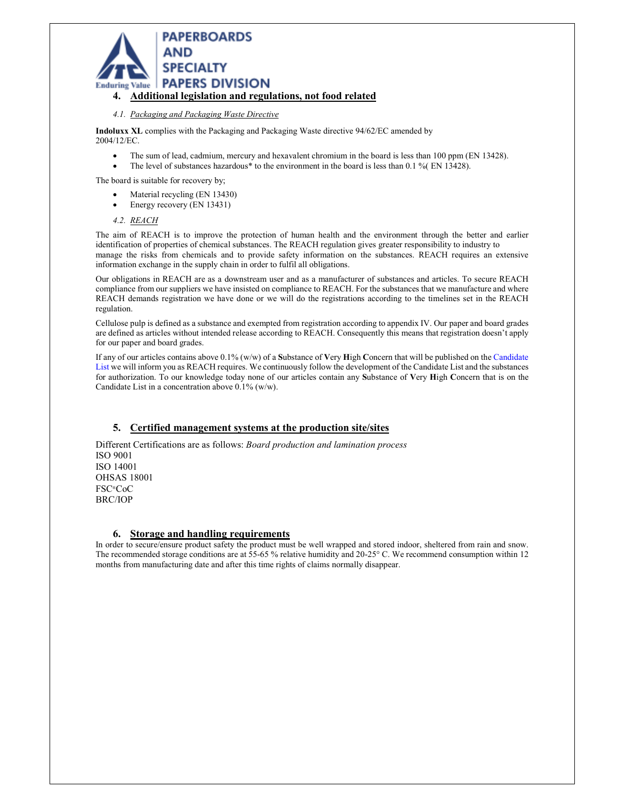

## *4.1. Packaging and Packaging Waste Directive*

**Indoluxx XL** complies with the Packaging and Packaging Waste directive 94/62/EC amended by 2004/12/EC.

- The sum of lead, cadmium, mercury and hexavalent chromium in the board is less than 100 ppm (EN 13428).
- The level of substances hazardous\* to the environment in the board is less than 0.1 % (EN 13428).

The board is suitable for recovery by;

- Material recycling (EN 13430)
- Energy recovery (EN 13431)
- *4.2. REACH*

The aim of REACH is to improve the protection of human health and the environment through the better and earlier identification of properties of chemical substances. The REACH regulation gives greater responsibility to industry to manage the risks from chemicals and to provide safety information on the substances. REACH requires an extensive information exchange in the supply chain in order to fulfil all obligations.

Our obligations in REACH are as a downstream user and as a manufacturer of substances and articles. To secure REACH compliance from our suppliers we have insisted on compliance to REACH. For the substances that we manufacture and where REACH demands registration we have done or we will do the registrations according to the timelines set in the REACH regulation.

Cellulose pulp is defined as a substance and exempted from registration according to appendix IV. Our paper and board grades are defined as articles without intended release according to REACH. Consequently this means that registration doesn't apply for our paper and board grades.

If any of our articles contains above 0.1% (w/w) of a **S**ubstance of **V**ery **H**igh **C**oncern that will be published on the Candidate List we will inform you as REACH requires. We continuously follow the development of the Candidate List and the substances for authorization. To our knowledge today none of our articles contain any **S**ubstance of **V**ery **H**igh **C**oncern that is on the Candidate List in a concentration above 0.1% (w/w).

# **5. Certified management systems at the production site/sites**

Different Certifications are as follows: *Board production and lamination process*  ISO 9001 ISO 14001 OHSAS 18001 FSC®CoC BRC/IOP

# **6. Storage and handling requirements**

In order to secure/ensure product safety the product must be well wrapped and stored indoor, sheltered from rain and snow. The recommended storage conditions are at 55-65 % relative humidity and 20-25° C. We recommend consumption within 12 months from manufacturing date and after this time rights of claims normally disappear.